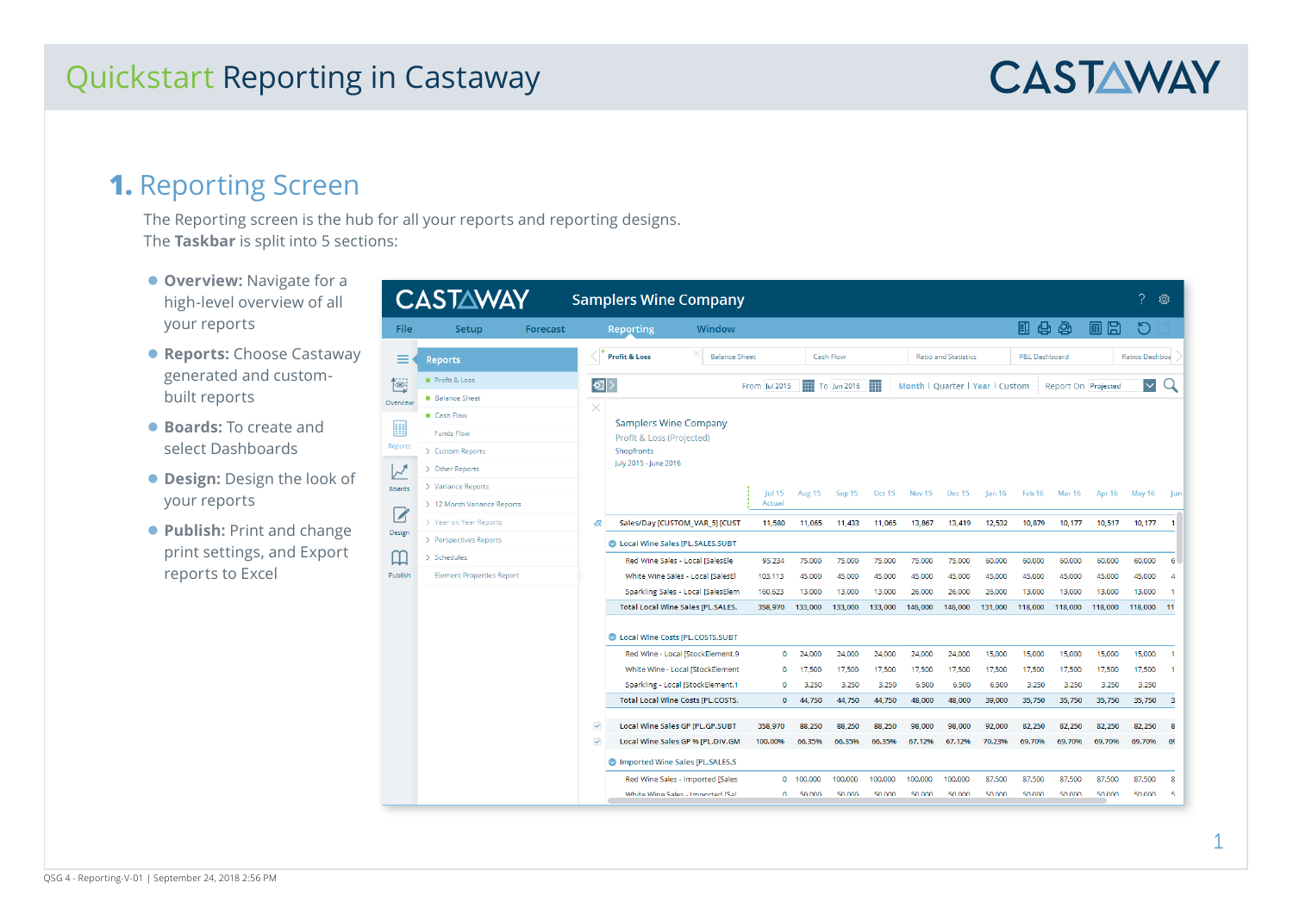# **CASTAWAY**

### **1.** Reporting Screen

The Reporting screen is the hub for all your reports and reporting designs. The **Taskbar** is split into 5 sections:

- **Overview: Navigate for a** high-level overview of all your reports
- **Reports:** Choose Castaway generated and custombuilt reports
- **Boards:** To create and select Dashboards
- **Design: Design the look of** your reports
- **Publish: Print and change** print settings, and Export reports to Excel

|                          | <b>CASTAWAY</b>                  |          |                         |                                  | <b>Samplers Wine Company</b>             |               |         |                  |               |                                 |                             |               |               |                     |         |                    | කු             |
|--------------------------|----------------------------------|----------|-------------------------|----------------------------------|------------------------------------------|---------------|---------|------------------|---------------|---------------------------------|-----------------------------|---------------|---------------|---------------------|---------|--------------------|----------------|
| <b>File</b>              | Setup                            | Forecast |                         | Reporting                        | Window                                   |               |         |                  |               |                                 |                             |               | 日中南           |                     | 圓<br>B  | n                  |                |
|                          | <b>Reports</b>                   |          |                         | <b>Profit &amp; Loss</b>         | <b>Balance Sheet</b>                     |               |         | <b>Cash Flow</b> |               |                                 | <b>Ratio and Statistics</b> |               | P&L Dashboard |                     |         | Ratios Dashboa     |                |
|                          | <b>Profit &amp; Loss</b>         |          | 如                       |                                  |                                          | From Jul 2015 | TH      | To Jun 2016      | ŦĦ            | Month   Quarter   Year   Custom |                             |               |               | Report On Projected |         | $\vert \vee \vert$ |                |
| erview                   | <b>Balance Sheet</b>             |          |                         |                                  |                                          |               |         |                  |               |                                 |                             |               |               |                     |         |                    |                |
|                          | Cash Flow                        |          |                         | <b>Samplers Wine Company</b>     |                                          |               |         |                  |               |                                 |                             |               |               |                     |         |                    |                |
| ▦                        | <b>Funds Flow</b>                |          |                         | Profit & Loss (Projected)        |                                          |               |         |                  |               |                                 |                             |               |               |                     |         |                    |                |
| ports                    | > Custom Reports                 |          |                         | Shopfronts                       |                                          |               |         |                  |               |                                 |                             |               |               |                     |         |                    |                |
| $\overline{\mathcal{F}}$ | > Other Reports                  |          |                         | July 2015 - June 2016            |                                          |               |         |                  |               |                                 |                             |               |               |                     |         |                    |                |
| pards                    | > Variance Reports               |          |                         |                                  |                                          | Jul 15        | Aug 15  | Sep 15           | <b>Oct 15</b> | Nov 15                          | <b>Dec 15</b>               | <b>Jan 16</b> | Feb 16        | <b>Mar 16</b>       | Apr 16  | <b>May 16</b>      | - Jun          |
|                          | > 12 Month Variance Reports      |          |                         |                                  |                                          | Actual        |         |                  |               |                                 |                             |               |               |                     |         |                    |                |
| Z                        | > Year on Year Reports           |          | $\sqrt{x}$              |                                  | Sales/Day [CUSTOM_VAR_5] [CUST           | 11,580        | 11,065  | 11,433           | 11,065        | 13,867                          | 13,419                      | 12,532        | 10,879        | 10.177              | 10,517  | 10,177             | -1             |
| esign                    | > Perspectives Reports           |          |                         | Local Wine Sales [PL.SALES.SUBT  |                                          |               |         |                  |               |                                 |                             |               |               |                     |         |                    |                |
| I                        | $>$ Schedules                    |          |                         |                                  | Red Wine Sales - Local [SalesEle         | 95.234        | 75,000  | 75,000           | 75,000        | 75,000                          | 75,000                      | 60,000        | 60,000        | 60.000              | 60.000  | 60,000             | 6              |
| ublish                   | <b>Element Properties Report</b> |          |                         |                                  | White Wine Sales - Local [SalesEl]       | 103.113       | 45.000  | 45.000           | 45.000        | 45.000                          | 45.000                      | 45.000        | 45.000        | 45.000              | 45.000  | 45.000             | $\overline{A}$ |
|                          |                                  |          |                         |                                  | Sparkling Sales - Local [SalesElem       | 160,623       | 13,000  | 13,000           | 13,000        | 26,000                          | 26,000                      | 26,000        | 13,000        | 13,000              | 13,000  | 13,000             | 1              |
|                          |                                  |          |                         |                                  | <b>Total Local Wine Sales [PL.SALES.</b> | 358,970       | 133,000 | 133,000          | 133,000       | 146,000                         | 146,000                     | 131,000       | 118,000       | 118,000             | 118,000 | 118,000            | 11             |
|                          |                                  |          |                         | Local Wine Costs [PL.COSTS.SUBT  |                                          |               |         |                  |               |                                 |                             |               |               |                     |         |                    |                |
|                          |                                  |          |                         |                                  | Red Wine - Local [StockElement.9         | $\mathbf 0$   | 24,000  | 24,000           | 24.000        | 24,000                          | 24.000                      | 15,000        | 15,000        | 15,000              | 15,000  | 15,000             | 1              |
|                          |                                  |          |                         |                                  | White Wine - Local [StockElement         | $\mathbf 0$   | 17,500  | 17,500           | 17,500        | 17,500                          | 17,500                      | 17,500        | 17,500        | 17,500              | 17,500  | 17,500             | 1              |
|                          |                                  |          |                         |                                  | Sparkling - Local [StockElement.1        | $\mathbf{0}$  | 3.250   | 3.250            | 3.250         | 6,500                           | 6,500                       | 6,500         | 3.250         | 3.250               | 3.250   | 3.250              |                |
|                          |                                  |          |                         |                                  | <b>Total Local Wine Costs [PL.COSTS.</b> | $\mathbf 0$   | 44,750  | 44,750           | 44,750        | 48,000                          | 48,000                      | 39,000        | 35,750        | 35,750              | 35,750  | 35,750             | 3              |
|                          |                                  |          | $\overline{\mathbf{v}}$ |                                  | Local Wine Sales GP [PL.GP.SUBT          | 358,970       | 88,250  | 88,250           | 88,250        | 98,000                          | 98,000                      | 92,000        | 82,250        | 82,250              | 82,250  | 82,250             | 8              |
|                          |                                  |          | $\overline{\checkmark}$ |                                  | Local Wine Sales GP % [PL.DIV.GM         | 100.00%       | 66.35%  | 66.35%           | 66.35%        | 67.12%                          | 67.12%                      | 70.23%        | 69.70%        | 69.70%              | 69.70%  | 69.70%             | 69             |
|                          |                                  |          |                         | Imported Wine Sales [PL.SALES.S] |                                          |               |         |                  |               |                                 |                             |               |               |                     |         |                    |                |
|                          |                                  |          |                         |                                  | Red Wine Sales - Imported [Sales         | $\circ$       | 100,000 | 100,000          | 100,000       | 100,000                         | 100,000                     | 87,500        | 87,500        | 87,500              | 87,500  | 87,500             | 8              |
|                          |                                  |          |                         |                                  | White Wine Sales - Imported ISal         | $\Omega$      | 50,000  | 50,000           | 50,000        | 50,000                          | 50,000                      | 50,000        | 50,000        | 50,000              | 50,000  | 50.000             | 5.             |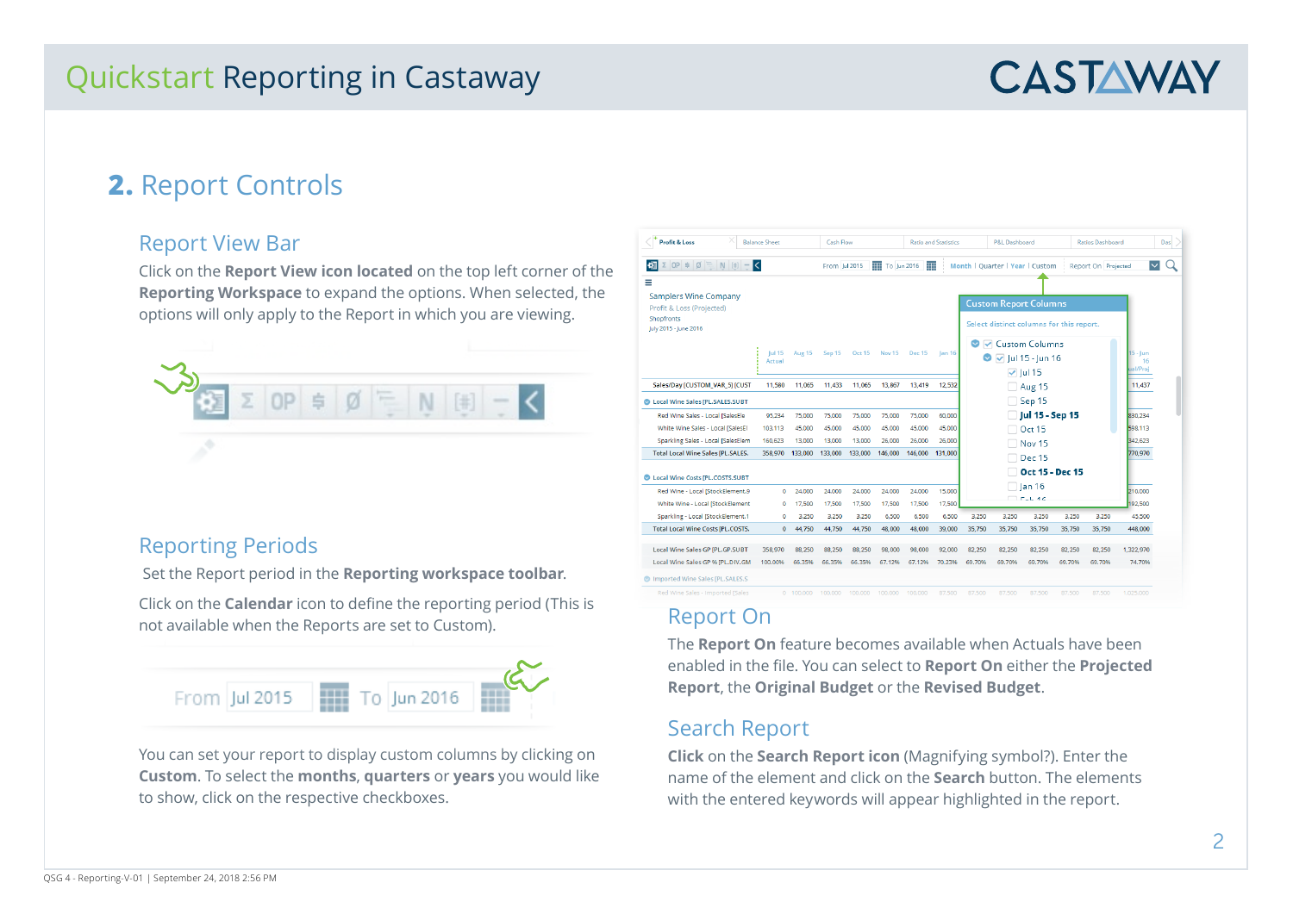# **CASTAWAY**

## **2.** Report Controls

#### Report View Bar

Click on the **Report View icon located** on the top left corner of the **Reporting Workspace** to expand the options. When selected, the options will only apply to the Report in which you are viewing.



#### Reporting Periods

Set the Report period in the **Reporting workspace toolbar**.

Click on the **Calendar** icon to define the reporting period (This is not available when the Reports are set to Custom).



You can set your report to display custom columns by clicking on **Custom**. To select the **months**, **quarters** or **years** you would like to show, click on the respective checkboxes.

| <b>Profit &amp; Loss</b>                                                                              | <b>Balance Sheet</b>    |               | Cash Flow     |               |                   |         | <b>Ratio and Statistics</b> |        | P&L Dashboard                                                               |                               |        | <b>Ratios Dashboard</b> |                                    |
|-------------------------------------------------------------------------------------------------------|-------------------------|---------------|---------------|---------------|-------------------|---------|-----------------------------|--------|-----------------------------------------------------------------------------|-------------------------------|--------|-------------------------|------------------------------------|
| $\Sigma$ OP $\neq$ $\emptyset$ $\subseteq$ N $\left[\equiv\right]$ -<br>书                             | K                       |               | From Jul 2015 |               | ŦŦ<br>To Jun 2016 | ŦΗ      |                             |        | Month   Quarter   Year   Custom                                             |                               |        | Report On Projected     |                                    |
| Ξ<br><b>Samplers Wine Company</b><br>Profit & Loss (Projected)<br>Shopfronts<br>July 2015 - June 2016 |                         |               |               |               |                   |         |                             |        | <b>Custom Report Columns</b><br>Select distinct columns for this report.    |                               |        |                         |                                    |
|                                                                                                       | <b>Jul 15</b><br>Actual | <b>Aug 15</b> | Sep 15        | <b>Oct 15</b> | <b>Nov 15</b>     | Dec 15  | Jan 16                      |        | <b>O</b> $\vee$ Custom Columns<br>$\bullet$ $\triangledown$ Jul 15 - Jun 16 | $\triangledown$ Jul 15        |        |                         | $5 - \lfloor$ un<br>16<br>ual/Proj |
| Sales/Day [CUSTOM_VAR_5] [CUST                                                                        | 11.580                  | 11.065        | 11.433        | 11.065        | 13.867            | 13.419  | 12.532                      |        |                                                                             | Aug 15                        |        |                         | 11.437                             |
| Local Wine Sales [PL.SALES.SUBT                                                                       |                         |               |               |               |                   |         |                             |        |                                                                             | $\Box$ Sep 15                 |        |                         |                                    |
| Red Wine Sales - Local [SalesEle                                                                      | 95.234                  | 75,000        | 75,000        | 75.000        | 75,000            | 75,000  | 60,000                      |        |                                                                             | Jul 15 - Sep 15               |        |                         | 330.234                            |
| White Wine Sales - Local ISalesEl                                                                     | 103.113                 | 45,000        | 45,000        | 45,000        | 45,000            | 45.000  | 45,000                      |        |                                                                             | Oct 15                        |        |                         | 598.113                            |
| Sparkling Sales - Local [SalesElem                                                                    | 160.623                 | 13,000        | 13,000        | 13,000        | 26,000            | 26,000  | 26,000                      |        |                                                                             | Nov 15                        |        |                         | 342.623                            |
| <b>Total Local Wine Sales [PL.SALES.</b>                                                              | 358,970                 | 133,000       | 133,000       | 133,000       | 146,000           | 146,000 | 131,000                     |        |                                                                             | Dec 15                        |        |                         | 770,970                            |
| Local Wine Costs IPL.COSTS.SUBT                                                                       |                         |               |               |               |                   |         |                             |        |                                                                             | Oct 15 - Dec 15               |        |                         |                                    |
| Red Wine - Local [StockElement.9                                                                      | $\Omega$                | 24,000        | 24,000        | 24,000        | 24,000            | 24,000  | 15,000                      |        |                                                                             | $\Box$ lan 16<br>$T = L + 4C$ |        |                         | 210,000                            |
| White Wine - Local [StockElement                                                                      | $\Omega$                | 17,500        | 17.500        | 17.500        | 17.500            | 17.500  | 17,500                      |        |                                                                             |                               |        |                         | 92.500                             |
| Sparkling - Local [StockElement.1                                                                     | $\Omega$                | 3.250         | 3.250         | 3.250         | 6.500             | 6.500   | 6.500                       | 3.250  | 3.250                                                                       | 3.250                         | 3.250  | 3.250                   | 45,500                             |
| <b>Total Local Wine Costs [PL.COSTS.</b>                                                              | $\mathbf{0}$            | 44.750        | 44,750        | 44,750        | 48,000            | 48,000  | 39,000                      | 35,750 | 35,750                                                                      | 35,750                        | 35,750 | 35,750                  | 448,000                            |
| Local Wine Sales GP [PL.GP.SUBT                                                                       | 358,970                 | 88.250        | 88.250        | 88,250        | 98.000            | 98.000  | 92.000                      | 82.250 | 82.250                                                                      | 82.250                        | 82.250 | 82.250                  | 1,322,970                          |
| Local Wine Sales GP % [PL.DIV.GM                                                                      | 100.00%                 | 66.35%        | 66.35%        | 66.35%        | 67.12%            | 67.12%  | 70.23%                      | 69.70% | 69.70%                                                                      | 69.70%                        | 69.70% | 69.70%                  | 74.70%                             |
| Imported Wine Sales [PL.SALES.S]                                                                      |                         |               |               |               |                   |         |                             |        |                                                                             |                               |        |                         |                                    |

#### Report On

The **Report On** feature becomes available when Actuals have been enabled in the file. You can select to **Report On** either the **Projected Report**, the **Original Budget** or the **Revised Budget**.

#### Search Report

**Click** on the **Search Report icon** (Magnifying symbol?). Enter the name of the element and click on the **Search** button. The elements with the entered keywords will appear highlighted in the report.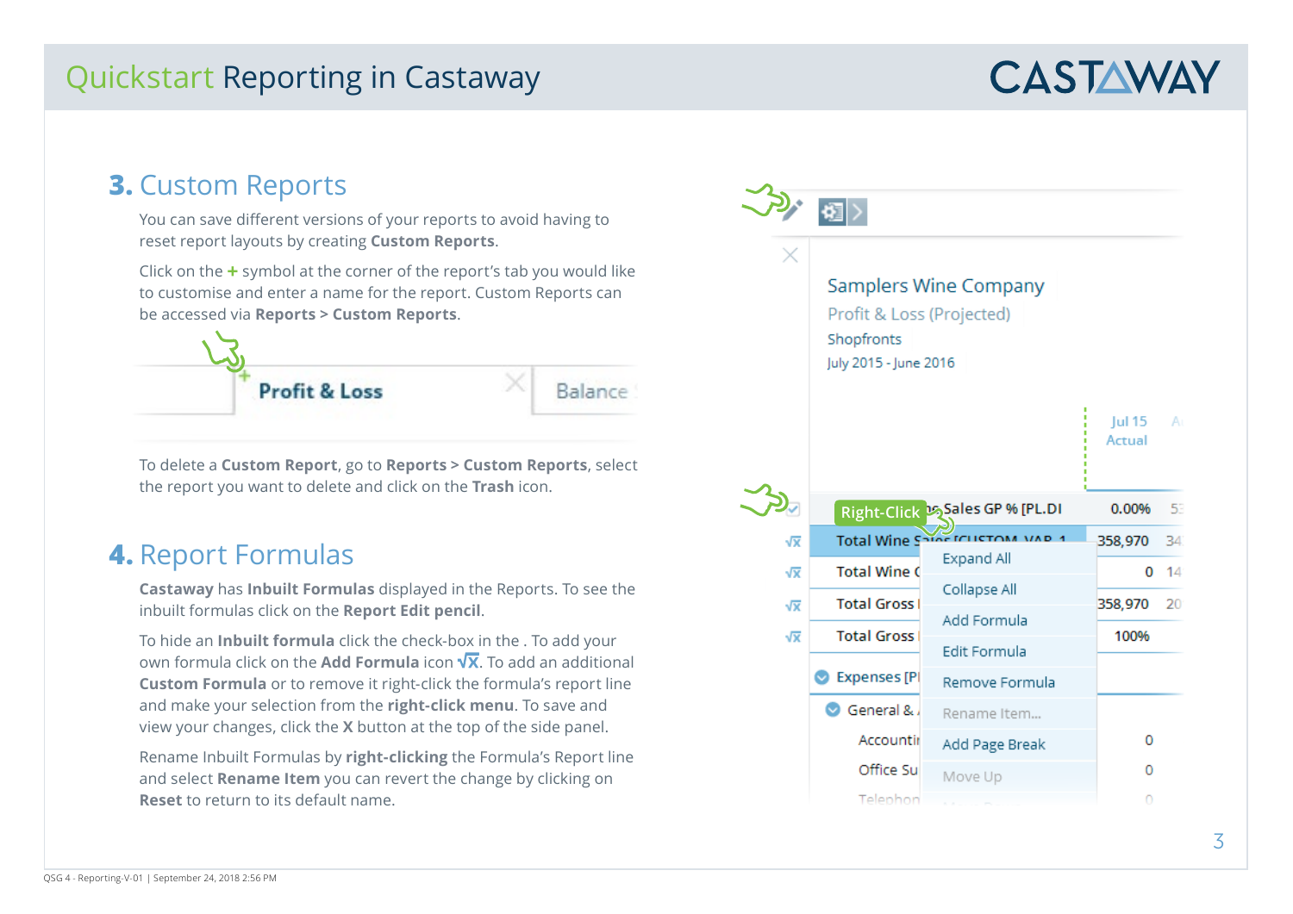# **CASTAWAY**

### **3.** Custom Reports

You can save different versions of your reports to avoid having to reset report layouts by creating **Custom Reports**.

Click on the **+** symbol at the corner of the report's tab you would like to customise and enter a name for the report. Custom Reports can be accessed via **Reports > Custom Reports**.



To delete a **Custom Report**, go to **Reports > Custom Reports**, select the report you want to delete and click on the **Trash** icon.

### **4.** Report Formulas

**Castaway** has **Inbuilt Formulas** displayed in the Reports. To see the inbuilt formulas click on the **Report Edit pencil**.

To hide an **Inbuilt formula** click the check-box in the . To add your own formula click on the **Add Formula** icon  $\sqrt{x}$  To add an additional **Custom Formula** or to remove it right-click the formula's report line and make your selection from the **right-click menu**. To save and view your changes, click the **X** button at the top of the side panel.

Rename Inbuilt Formulas by **right-clicking** the Formula's Report line and select **Rename Item** you can revert the change by clicking on **Reset** to return to its default name.